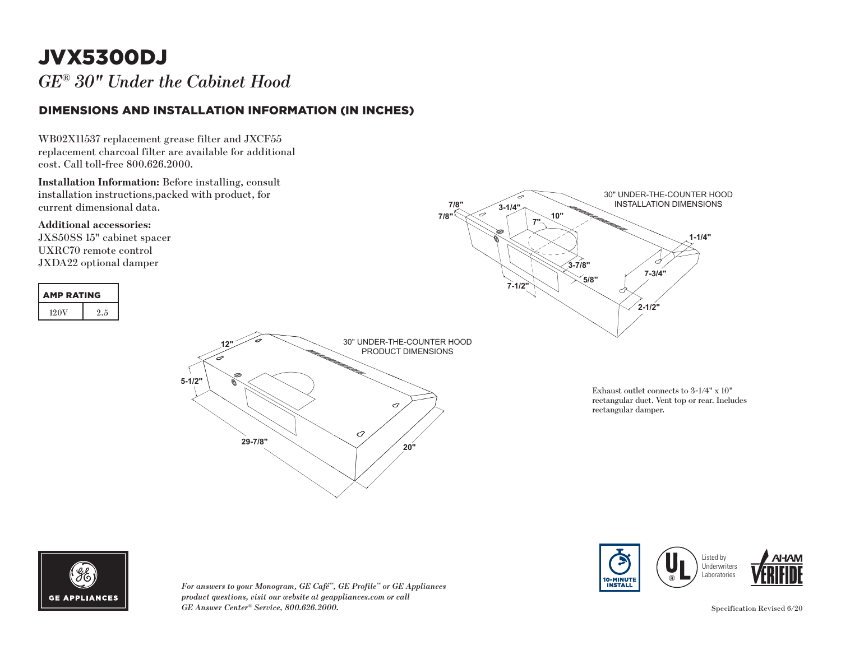## JVX5300DJ

*GE® 30" Under the Cabinet Hood* 

### DIMENSIONS AND INSTALLATION INFORMATION (IN INCHES)

WB02X11537 replacement grease filter and JXCF55 replacement charcoal filter are available for additional cost. Call toll-free 800.626.2000.

**Installation Information:** Before installing, consult installation instructions,packed with product, for current dimensional data.

**Additional accessories:**

JXS50SS 15" cabinet spacer UXRC70 remote control JXDA22 optional damper





*For answers to your Monogram, GE Café™, GE Profile™ or GE Appliances*  **1-1/4"** *product questions, visit our website at geappliances.com or call GE Answer Center® Service, 800.626.2000.* Specification Revised 6/20 **3-7/8"**



**1-1/4"**

30" UNDER-THE-COUNTER HOOD INSTALLATION DIMENSIONS

d

**3-7/8"**

**7"**

**10"**

**3-1/4"**

**7/8" 7/8"**